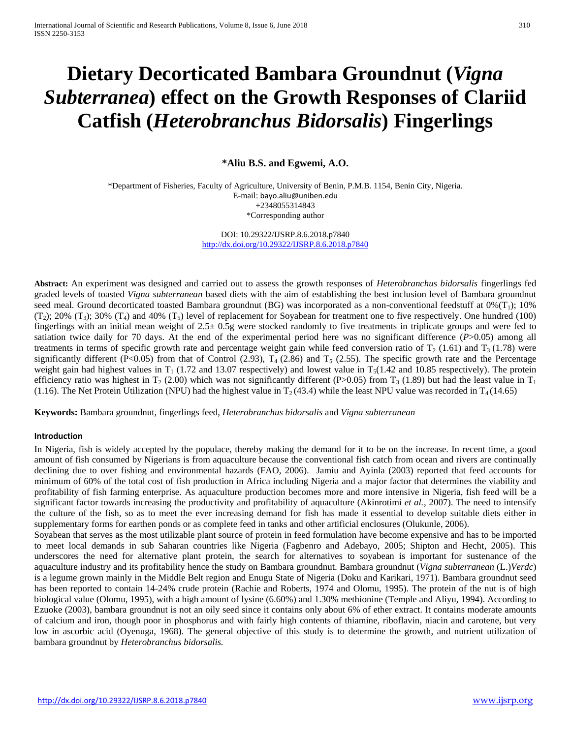# **Dietary Decorticated Bambara Groundnut (***Vigna Subterranea***) effect on the Growth Responses of Clariid Catfish (***Heterobranchus Bidorsalis***) Fingerlings**

**\*Aliu B.S. and Egwemi, A.O.**

\*Department of Fisheries, Faculty of Agriculture, University of Benin, P.M.B. 1154, Benin City, Nigeria. E-mail: [bayo.aliu@uniben.edu](mailto:bayo.aliu@uniben.edu) +2348055314843 \*Corresponding author

> DOI: 10.29322/IJSRP.8.6.2018.p7840 <http://dx.doi.org/10.29322/IJSRP.8.6.2018.p7840>

**Abstract:** An experiment was designed and carried out to assess the growth responses of *Heterobranchus bidorsalis* fingerlings fed graded levels of toasted *Vigna subterranean* based diets with the aim of establishing the best inclusion level of Bambara groundnut seed meal. Ground decorticated toasted Bambara groundnut (BG) was incorporated as a non-conventional feedstuff at  $0\%$  (T<sub>1</sub>); 10%  $(T_2)$ ; 20%  $(T_3)$ ; 30%  $(T_4)$  and 40%  $(T_5)$  level of replacement for Soyabean for treatment one to five respectively. One hundred (100) fingerlings with an initial mean weight of  $2.5 \pm 0.5$ g were stocked randomly to five treatments in triplicate groups and were fed to satiation twice daily for 70 days. At the end of the experimental period here was no significant difference  $(P>0.05)$  among all treatments in terms of specific growth rate and percentage weight gain while feed conversion ratio of  $T_2$  (1.61) and  $T_3$  (1.78) were significantly different (P<0.05) from that of Control (2.93),  $T_4$  (2.86) and  $T_5$  (2.55). The specific growth rate and the Percentage weight gain had highest values in  $T_1$  (1.72 and 13.07 respectively) and lowest value in  $T_5(1.42$  and 10.85 respectively). The protein efficiency ratio was highest in T<sub>2</sub> (2.00) which was not significantly different (P>0.05) from T<sub>3</sub> (1.89) but had the least value in T<sub>1</sub> (1.16). The Net Protein Utilization (NPU) had the highest value in  $T_2(43.4)$  while the least NPU value was recorded in  $T_4(14.65)$ 

**Keywords:** Bambara groundnut, fingerlings feed, *Heterobranchus bidorsalis* and *Vigna subterranean*

#### **Introduction**

In Nigeria, fish is widely accepted by the populace, thereby making the demand for it to be on the increase. In recent time, a good amount of fish consumed by Nigerians is from aquaculture because the conventional fish catch from ocean and rivers are continually declining due to over fishing and environmental hazards (FAO, 2006). Jamiu and Ayinla (2003) reported that feed accounts for minimum of 60% of the total cost of fish production in Africa including Nigeria and a major factor that determines the viability and profitability of fish farming enterprise. As aquaculture production becomes more and more intensive in Nigeria, fish feed will be a significant factor towards increasing the productivity and profitability of aquaculture (Akinrotimi *et al.*, 2007). The need to intensify the culture of the fish, so as to meet the ever increasing demand for fish has made it essential to develop suitable diets either in supplementary forms for earthen ponds or as complete feed in tanks and other artificial enclosures (Olukunle, 2006).

Soyabean that serves as the most utilizable plant source of protein in feed formulation have become expensive and has to be imported to meet local demands in sub Saharan countries like Nigeria (Fagbenro and Adebayo, 2005; Shipton and Hecht, 2005). This underscores the need for alternative plant protein, the search for alternatives to soyabean is important for sustenance of the aquaculture industry and its profitability hence the study on Bambara groundnut. Bambara groundnut (*Vigna subterranean* (L.)*Verdc*) is a legume grown mainly in the Middle Belt region and Enugu State of Nigeria (Doku and Karikari, 1971). Bambara groundnut seed has been reported to contain 14-24% crude protein (Rachie and Roberts, 1974 and Olomu, 1995). The protein of the nut is of high biological value (Olomu, 1995), with a high amount of lysine (6.60%) and 1.30% methionine (Temple and Aliyu, 1994). According to Ezuoke (2003), bambara groundnut is not an oily seed since it contains only about 6% of ether extract. It contains moderate amounts of calcium and iron, though poor in phosphorus and with fairly high contents of thiamine, riboflavin, niacin and carotene, but very low in ascorbic acid (Oyenuga, 1968). The general objective of this study is to determine the growth, and nutrient utilization of bambara groundnut by *Heterobranchus bidorsalis.*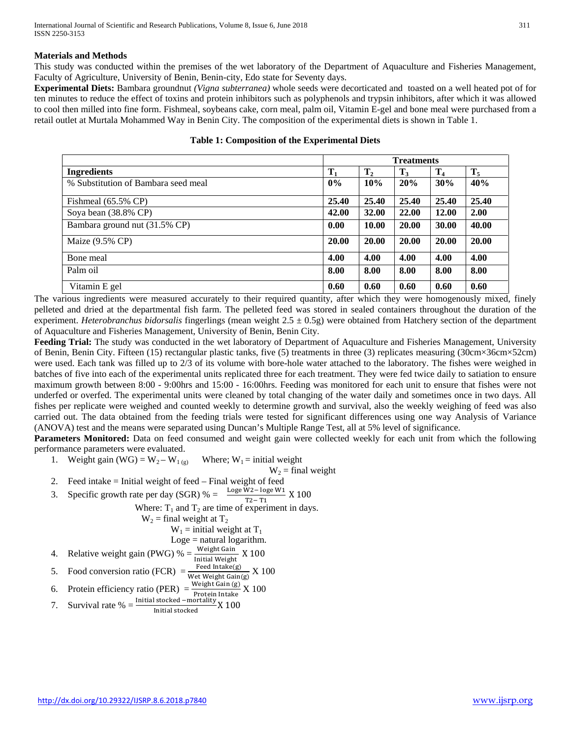## **Materials and Methods**

This study was conducted within the premises of the wet laboratory of the Department of Aquaculture and Fisheries Management, Faculty of Agriculture, University of Benin, Benin-city, Edo state for Seventy days.

**Experimental Diets:** Bambara groundnut *(Vigna subterranea)* whole seeds were decorticated and toasted on a well heated pot of for ten minutes to reduce the effect of toxins and protein inhibitors such as polyphenols and trypsin inhibitors, after which it was allowed to cool then milled into fine form. Fishmeal, soybeans cake, corn meal, palm oil, Vitamin E-gel and bone meal were purchased from a retail outlet at Murtala Mohammed Way in Benin City. The composition of the experimental diets is shown in Table 1.

|                                     | <b>Treatments</b> |                |       |                |       |
|-------------------------------------|-------------------|----------------|-------|----------------|-------|
| <b>Ingredients</b>                  | $\mathbf{T}_1$    | T <sub>2</sub> | $T_3$ | T <sub>4</sub> | $T_5$ |
| % Substitution of Bambara seed meal | $0\%$             | 10%            | 20%   | 30%            | 40%   |
| Fishmeal $(65.5\% \text{ CP})$      | 25.40             | 25.40          | 25.40 | 25.40          | 25.40 |
| Soya bean (38.8% CP)                | 42.00             | 32.00          | 22.00 | <b>12.00</b>   | 2.00  |
| Bambara ground nut (31.5% CP)       | 0.00              | 10.00          | 20.00 | 30.00          | 40.00 |
| Maize (9.5% CP)                     | 20.00             | 20.00          | 20.00 | 20.00          | 20.00 |
| Bone meal                           | 4.00              | 4.00           | 4.00  | 4.00           | 4.00  |
| Palm oil                            | 8.00              | 8.00           | 8.00  | 8.00           | 8.00  |
| Vitamin E gel                       | 0.60              | 0.60           | 0.60  | 0.60           | 0.60  |

#### **Table 1: Composition of the Experimental Diets**

The various ingredients were measured accurately to their required quantity, after which they were homogenously mixed, finely pelleted and dried at the departmental fish farm. The pelleted feed was stored in sealed containers throughout the duration of the experiment. *Heterobranchus bidorsalis* fingerlings (mean weight 2.5 ± 0.5g) were obtained from Hatchery section of the department of Aquaculture and Fisheries Management, University of Benin, Benin City.

**Feeding Trial:** The study was conducted in the wet laboratory of Department of Aquaculture and Fisheries Management, University of Benin, Benin City. Fifteen (15) rectangular plastic tanks, five (5) treatments in three (3) replicates measuring (30cm×36cm×52cm) were used. Each tank was filled up to 2/3 of its volume with bore-hole water attached to the laboratory. The fishes were weighed in batches of five into each of the experimental units replicated three for each treatment. They were fed twice daily to satiation to ensure maximum growth between 8:00 - 9:00hrs and 15:00 - 16:00hrs. Feeding was monitored for each unit to ensure that fishes were not underfed or overfed. The experimental units were cleaned by total changing of the water daily and sometimes once in two days. All fishes per replicate were weighed and counted weekly to determine growth and survival, also the weekly weighing of feed was also carried out. The data obtained from the feeding trials were tested for significant differences using one way Analysis of Variance (ANOVA) test and the means were separated using Duncan's Multiple Range Test, all at 5% level of significance.

**Parameters Monitored:** Data on feed consumed and weight gain were collected weekly for each unit from which the following performance parameters were evaluated.

1. Weight gain (WG) =  $W_2-W_1$  (g) Where;  $W_1$  = initial weight

$$
W_2
$$
 = final weight

- 2. Feed intake = Initial weight of feed Final weight of feed
- 3. Specific growth rate per day (SGR) % =  $\frac{\text{Log } W2 \text{log } W1}{T2 T1}$  X 100

Where:  $T_1$  and  $T_2$  are time of experiment in days.

$$
W_2
$$
 = final weight at  $T_2$   
 $W_1$  = initial weight at  $T_1$ 

$$
w_1
$$
 = m<sub>1</sub>  $w_2$  = m<sub>2</sub>  $w_1$   $w_2$  = m<sub>3</sub>  $w_2$   $w_3$   $w_4$ 

4. Relative weight gain (PWG) 
$$
\% = \frac{\text{Weight Gain}}{\text{Initial Weight}}
$$
 X 100

4. Relative weight gain (PWG) 
$$
\% = \frac{\text{mg}}{\text{Initial Weight}}
$$
 X 100

5. Food conversion ratio (FCR) = 
$$
\frac{\text{Feed Intake(g)}}{\text{Wet Weight Gain(g)}}
$$
 X 100

6. Protein efficiency ratio (PER) = 
$$
\frac{\text{Weight Gain (g)}}{\text{Protein Intake}} \times 100
$$

7. Survival rate 
$$
\% = \frac{\text{Initial stocked - mortality}}{\text{width standard}}
$$
 X 100

7. Survival rate 
$$
\% = \frac{\ }{\mathrm{Initial\ stocked}} \times 100
$$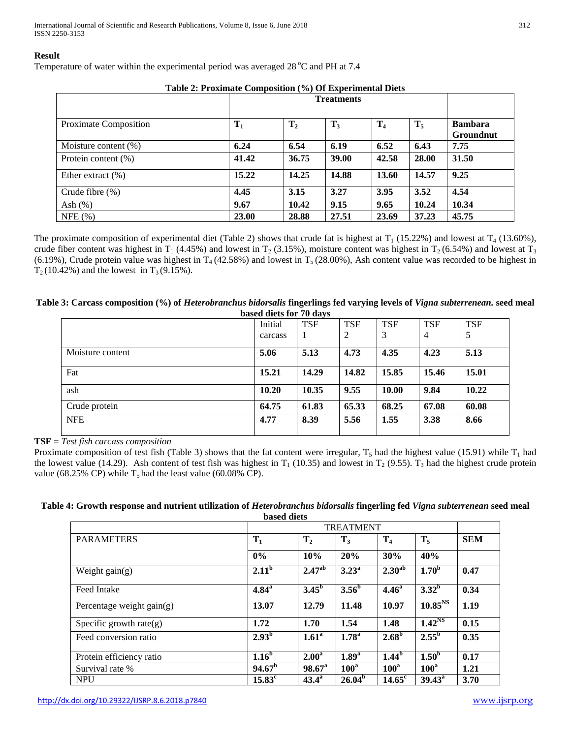International Journal of Scientific and Research Publications, Volume 8, Issue 6, June 2018 312 ISSN 2250-3153

#### **Result**

Temperature of water within the experimental period was averaged 28 °C and PH at 7.4

| Tuble 2: I Foxiliate Composition (707 Of Experimental Dicts |       |                |       |       |       |                  |  |
|-------------------------------------------------------------|-------|----------------|-------|-------|-------|------------------|--|
|                                                             |       |                |       |       |       |                  |  |
| Proximate Composition                                       | $T_1$ | T <sub>2</sub> | $T_3$ | $T_4$ | $T_5$ | <b>Bambara</b>   |  |
|                                                             |       |                |       |       |       | <b>Groundnut</b> |  |
| Moisture content $(\%)$                                     | 6.24  | 6.54           | 6.19  | 6.52  | 6.43  | 7.75             |  |
| Protein content $(\%)$                                      | 41.42 | 36.75          | 39.00 | 42.58 | 28.00 | 31.50            |  |
| Ether extract $(\%)$                                        | 15.22 | 14.25          | 14.88 | 13.60 | 14.57 | 9.25             |  |
| Crude fibre $(\%)$                                          | 4.45  | 3.15           | 3.27  | 3.95  | 3.52  | 4.54             |  |
| Ash $(\%)$                                                  | 9.67  | 10.42          | 9.15  | 9.65  | 10.24 | 10.34            |  |
| NFE(%)                                                      | 23.00 | 28.88          | 27.51 | 23.69 | 37.23 | 45.75            |  |

**Table 2: Proximate Composition (%) Of Experimental Diets**

The proximate composition of experimental diet (Table 2) shows that crude fat is highest at  $T_1$  (15.22%) and lowest at  $T_4$  (13.60%), crude fiber content was highest in T<sub>1</sub> (4.45%) and lowest in T<sub>2</sub> (3.15%), moisture content was highest in T<sub>2</sub> (6.54%) and lowest at T<sub>3</sub> (6.19%), Crude protein value was highest in  $T_4$  (42.58%) and lowest in  $T_5$  (28.00%), Ash content value was recorded to be highest in  $T_2(10.42\%)$  and the lowest in  $T_3(9.15\%).$ 

| Table 3: Carcass composition (%) of Heterobranchus bidorsalis fingerlings fed varying levels of Vigna subterrenean. seed meal |  |
|-------------------------------------------------------------------------------------------------------------------------------|--|
| based diets for 70 days                                                                                                       |  |

|                  | Initial | $- -  \frac{1}{2}$<br><b>TSF</b> | <b>TSF</b> | <b>TSF</b> | <b>TSF</b> | <b>TSF</b> |
|------------------|---------|----------------------------------|------------|------------|------------|------------|
|                  | carcass | 1                                | 2          | 3          | 4          | 5          |
| Moisture content | 5.06    | 5.13                             | 4.73       | 4.35       | 4.23       | 5.13       |
| Fat              | 15.21   | 14.29                            | 14.82      | 15.85      | 15.46      | 15.01      |
| ash              | 10.20   | 10.35                            | 9.55       | 10.00      | 9.84       | 10.22      |
| Crude protein    | 64.75   | 61.83                            | 65.33      | 68.25      | 67.08      | 60.08      |
| <b>NFE</b>       | 4.77    | 8.39                             | 5.56       | 1.55       | 3.38       | 8.66       |

**TSF =** *Test fish carcass composition*

Proximate composition of test fish (Table 3) shows that the fat content were irregular,  $T_5$  had the highest value (15.91) while  $T_1$  had the lowest value (14.29). Ash content of test fish was highest in  $T_1$  (10.35) and lowest in  $T_2$  (9.55).  $T_3$  had the highest crude protein value (68.25% CP) while  $T_5$  had the least value (60.08% CP).

| Table 4: Growth response and nutrient utilization of Heterobranchus bidorsalis fingerling fed Vigna subterrenean seed meal |
|----------------------------------------------------------------------------------------------------------------------------|
| <b>based diets</b>                                                                                                         |

| <b>PARAMETERS</b>           | $T_1$              | $\mathbf{T}_2$    | $T_3$             | T <sub>4</sub>     | $T_5$               | <b>SEM</b> |
|-----------------------------|--------------------|-------------------|-------------------|--------------------|---------------------|------------|
|                             | 0%                 | 10%               | 20%               | 30%                | 40%                 |            |
| Weight $gain(g)$            | $2.11^{b}$         | $2.47^{ab}$       | $3.23^{\rm a}$    | 2.30 <sup>ab</sup> | 1.70 <sup>b</sup>   | 0.47       |
| Feed Intake                 | $4.84^{\rm a}$     | $3.45^{\rm b}$    | 3.56 <sup>b</sup> | 4.46 <sup>a</sup>  | $3.32^b$            | 0.34       |
| Percentage weight $gain(g)$ | 13.07              | 12.79             | 11.48             | 10.97              | 10.85 <sup>NS</sup> | 1.19       |
| Specific growth rate $(g)$  | 1.72               | 1.70              | 1.54              | 1.48               | 1.42 <sup>NS</sup>  | 0.15       |
| Feed conversion ratio       | $2.93^{\rm b}$     | 1.61 <sup>a</sup> | 1.78 <sup>a</sup> | 2.68 <sup>b</sup>  | $2.55^{\rm b}$      | 0.35       |
| Protein efficiency ratio    | 1.16 <sup>b</sup>  | 2.00 <sup>a</sup> | 1.89 <sup>a</sup> | 1.44 <sup>b</sup>  | 1.50 <sup>b</sup>   | 0.17       |
| Survival rate %             | 94.67 <sup>b</sup> | $98.67^{\circ}$   | $100^a$           | $100^a$            | 100 <sup>a</sup>    | 1.21       |
| <b>NPU</b>                  | $15.83^{\circ}$    | $43.4^{\circ}$    | $26.04^b$         | $14.65^{\circ}$    | $39.43^{\circ}$     | 3.70       |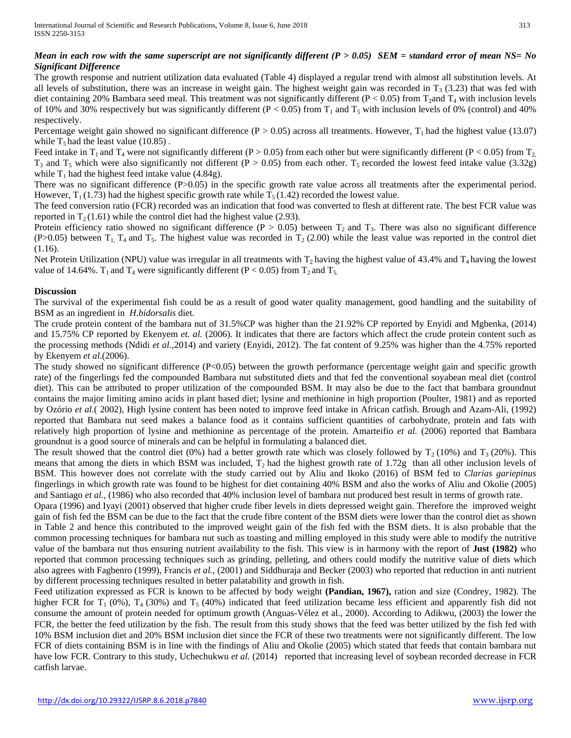# *Mean in each row with the same superscript are not significantly different (P > 0.05) SEM = standard error of mean NS= No Significant Difference*

The growth response and nutrient utilization data evaluated (Table 4) displayed a regular trend with almost all substitution levels. At all levels of substitution, there was an increase in weight gain. The highest weight gain was recorded in  $T_3$  (3.23) that was fed with diet containing 20% Bambara seed meal. This treatment was not significantly different ( $P < 0.05$ ) from T<sub>2</sub>and T<sub>4</sub> with inclusion levels of 10% and 30% respectively but was significantly different ( $P < 0.05$ ) from T<sub>1</sub> and T<sub>5</sub> with inclusion levels of 0% (control) and 40% respectively.

Percentage weight gain showed no significant difference ( $P > 0.05$ ) across all treatments. However, T<sub>1</sub> had the highest value (13.07) while  $T_5$  had the least value (10.85).

Feed intake in T<sub>1</sub> and T<sub>4</sub> were not significantly different (P > 0.05) from each other but were significantly different (P < 0.05) from T<sub>2</sub>  $T_3$  and  $T_5$  which were also significantly not different (P > 0.05) from each other.  $T_5$  recorded the lowest feed intake value (3.32g) while  $T_1$  had the highest feed intake value (4.84g).

There was no significant difference (P>0.05) in the specific growth rate value across all treatments after the experimental period. However,  $T_1$  (1.73) had the highest specific growth rate while  $T_5$  (1.42) recorded the lowest value.

The feed conversion ratio (FCR) recorded was an indication that food was converted to flesh at different rate. The best FCR value was reported in  $T_2(1.61)$  while the control diet had the highest value (2.93).

Protein efficiency ratio showed no significant difference (P > 0.05) between  $T_2$  and  $T_3$ . There was also no significant difference (P>0.05) between  $T_1$ ,  $T_4$  and  $T_5$ . The highest value was recorded in  $T_2$  (2.00) while the least value was reported in the control diet (1.16).

Net Protein Utilization (NPU) value was irregular in all treatments with  $T_2$  having the highest value of 43.4% and  $T_4$  having the lowest value of 14.64%.  $T_1$  and  $T_4$  were significantly different (P < 0.05) from  $T_2$  and  $T_5$ .

## **Discussion**

The survival of the experimental fish could be as a result of good water quality management, good handling and the suitability of BSM as an ingredient in *H.bidorsalis* diet.

The crude protein content of the bambara nut of 31.5%CP was higher than the 21.92% CP reported by Enyidi and Mgbenka, (2014) and 15.75% CP reported by Ekenyem *et. al.* (2006). It indicates that there are factors which affect the crude protein content such as the processing methods (Ndidi *et al.,*2014) and variety (Enyidi, 2012). The fat content of 9.25% was higher than the 4.75% reported by Ekenyem *et al.*(2006).

The study showed no significant difference  $(P<0.05)$  between the growth performance (percentage weight gain and specific growth rate) of the fingerlings fed the compounded Bambara nut substituted diets and that fed the conventional soyabean meal diet (control diet). This can be attributed to proper utilization of the compounded BSM. It may also be due to the fact that bambara groundnut contains the major limiting amino acids in plant based diet; lysine and methionine in high proportion (Poulter, 1981) and as reported by Ozório *et al.*( 2002), High lysine content has been noted to improve feed intake in African catfish. Brough and Azam-Ali, (1992) reported that Bambara nut seed makes a balance food as it contains sufficient quantities of carbohydrate, protein and fats with relatively high proportion of lysine and methionine as percentage of the protein. Amarteifio *et al.* (2006) reported that Bambara groundnut is a good source of minerals and can be helpful in formulating a balanced diet.

The result showed that the control diet (0%) had a better growth rate which was closely followed by  $T_2$  (10%) and  $T_3$  (20%). This means that among the diets in which BSM was included,  $T_2$  had the highest growth rate of 1.72g than all other inclusion levels of BSM. This however does not correlate with the study carried out by Aliu and Ikoko (2016) of BSM fed to *Clarias gariepinus* fingerlings in which growth rate was found to be highest for diet containing 40% BSM and also the works of Aliu and Okolie (2005) and Santiago *et al.,* (1986) who also recorded that 40% inclusion level of bambara nut produced best result in terms of growth rate.

Opara (1996) and Iyayi (2001) observed that higher crude fiber levels in diets depressed weight gain. Therefore the improved weight gain of fish fed the BSM can be due to the fact that the crude fibre content of the BSM diets were lower than the control diet as shown in Table 2 and hence this contributed to the improved weight gain of the fish fed with the BSM diets. It is also probable that the common processing techniques for bambara nut such as toasting and milling employed in this study were able to modify the nutritive value of the bambara nut thus ensuring nutrient availability to the fish. This view is in harmony with the report of **Just (1982)** who reported that common processing techniques such as grinding, pelleting, and others could modify the nutritive value of diets which also agrees with Fagbenro (1999), Francis *et al.,* (2001) and Siddhuraja and Becker (2003) who reported that reduction in anti nutrient by different processing techniques resulted in better palatability and growth in fish.

Feed utilization expressed as FCR is known to be affected by body weight **(Pandian, 1967),** ration and size (Condrey, 1982). The higher FCR for  $T_1$  (0%),  $T_4$  (30%) and  $T_5$  (40%) indicated that feed utilization became less efficient and apparently fish did not consume the amount of protein needed for optimum growth (Anguas-Vélez et al., 2000). According to Adikwu, (2003) the lower the FCR, the better the feed utilization by the fish. The result from this study shows that the feed was better utilized by the fish fed with 10% BSM inclusion diet and 20% BSM inclusion diet since the FCR of these two treatments were not significantly different. The low FCR of diets containing BSM is in line with the findings of Aliu and Okolie (2005) which stated that feeds that contain bambara nut have low FCR. Contrary to this study, Uchechukwu *et al.* (2014) reported that increasing level of soybean recorded decrease in FCR catfish larvae.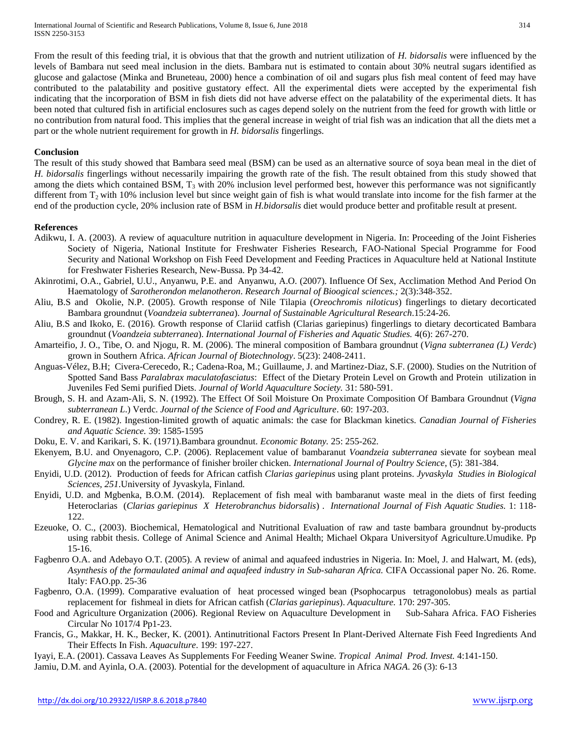From the result of this feeding trial, it is obvious that that the growth and nutrient utilization of *H. bidorsalis* were influenced by the levels of Bambara nut seed meal inclusion in the diets. Bambara nut is estimated to contain about 30% neutral sugars identified as glucose and galactose (Minka and Bruneteau, 2000) hence a combination of oil and sugars plus fish meal content of feed may have contributed to the palatability and positive gustatory effect. All the experimental diets were accepted by the experimental fish indicating that the incorporation of BSM in fish diets did not have adverse effect on the palatability of the experimental diets. It has been noted that cultured fish in artificial enclosures such as cages depend solely on the nutrient from the feed for growth with little or no contribution from natural food. This implies that the general increase in weight of trial fish was an indication that all the diets met a part or the whole nutrient requirement for growth in *H. bidorsalis* fingerlings.

## **Conclusion**

The result of this study showed that Bambara seed meal (BSM) can be used as an alternative source of soya bean meal in the diet of *H. bidorsalis* fingerlings without necessarily impairing the growth rate of the fish. The result obtained from this study showed that among the diets which contained BSM,  $T_3$  with 20% inclusion level performed best, however this performance was not significantly different from  $T_2$  with 10% inclusion level but since weight gain of fish is what would translate into income for the fish farmer at the end of the production cycle, 20% inclusion rate of BSM in *H.bidorsalis* diet would produce better and profitable result at present.

#### **References**

- Adikwu, I. A. (2003). A review of aquaculture nutrition in aquaculture development in Nigeria. In: Proceeding of the Joint Fisheries Society of Nigeria, National Institute for Freshwater Fisheries Research, FAO-National Special Programme for Food Security and National Workshop on Fish Feed Development and Feeding Practices in Aquaculture held at National Institute for Freshwater Fisheries Research, New-Bussa. Pp 34-42.
- Akinrotimi, O.A., Gabriel, U.U., Anyanwu, P.E. and Anyanwu, A.O. (2007). Influence Of Sex, Acclimation Method And Period On Haematology of *Sarotherondon melanotheron*. *Research Journal of Bioogical sciences.;* 2(3):348-352.
- Aliu, B.S and Okolie, N.P. (2005). Growth response of Nile Tilapia (*Oreochromis niloticus*) fingerlings to dietary decorticated Bambara groundnut (*Voandzeia subterranea*). *Journal of Sustainable Agricultural Research*.15:24-26.
- Aliu, B.S and Ikoko, E. (2016). Growth response of Clariid catfish (Clarias gariepinus) fingerlings to dietary decorticated Bambara groundnut (*Voandzeia subterranea*). *International Journal of Fisheries and Aquatic Studies.* 4(6): 267-270.
- Amarteifio, J. O., Tibe, O. and Njogu, R. M. (2006). The mineral composition of Bambara groundnut (*Vigna subterranea (L) Verdc*) grown in Southern Africa. *African Journal of Biotechnology*. 5(23): 2408-2411.
- Anguas-Vélez, B.H; Civera-Cerecedo, R.; Cadena-Roa, M.; Guillaume, J. and Martinez-Diaz, S.F. (2000). Studies on the Nutrition of Spotted Sand Bass *Paralabrax maculatofasciatus*: Effect of the Dietary Protein Level on Growth and Protein utilization in Juveniles Fed Semi purified Diets. *Journal of World Aquaculture Society.* 31: 580-591.
- Brough, S. H. and Azam-Ali, S. N. (1992). The Effect Of Soil Moisture On Proximate Composition Of Bambara Groundnut (*Vigna subterranean L*.) Verdc. *Journal of the Science of Food and Agriculture*. 60: 197-203.
- Condrey, R. E. (1982). Ingestion-limited growth of aquatic animals: the case for Blackman kinetics. *Canadian Journal of Fisheries and Aquatic Science.* 39: 1585-1595
- Doku, E. V. and Karikari, S. K. (1971).Bambara groundnut. *Economic Botany.* 25: 255-262.
- Ekenyem, B.U. and Onyenagoro, C.P. (2006). Replacement value of bambaranut *Voandzeia subterranea* sievate for soybean meal *Glycine max* on the performance of finisher broiler chicken. *International Journal of Poultry Science*, (5): 381-384.
- Enyidi, U.D. (2012). Production of feeds for African catfish *Clarias gariepinus* using plant proteins. *Jyvaskyla Studies in Biological Sciences, 251*.University of Jyvaskyla, Finland.
- Enyidi, U.D. and Mgbenka, B.O.M. (2014). Replacement of fish meal with bambaranut waste meal in the diets of first feeding Heteroclarias (*Clarias gariepinus X Heterobranchus bidorsalis*) . *International Journal of Fish Aquatic Studies.* 1: 118- 122.
- Ezeuoke, O. C., (2003). Biochemical, Hematological and Nutritional Evaluation of raw and taste bambara groundnut by-products using rabbit thesis. College of Animal Science and Animal Health; Michael Okpara Universityof Agriculture.Umudike. Pp 15-16.
- Fagbenro O.A. and Adebayo O.T. (2005). A review of animal and aquafeed industries in Nigeria. In: Moel, J. and Halwart, M. (eds), *Asynthesis of the formaulated animal and aquafeed industry in Sub-saharan Africa.* CIFA Occassional paper No. 26. Rome. Italy: FAO.pp. 25-36
- Fagbenro, O.A. (1999). Comparative evaluation of heat processed winged bean (Psophocarpus tetragonolobus) meals as partial replacement for fishmeal in diets for African catfish (*Clarias gariepinus*). *Aquaculture.* 170: 297-305.
- Food and Agriculture Organization (2006). Regional Review on Aquaculture Development in Sub-Sahara Africa. FAO Fisheries Circular No 1017/4 Pp1-23.
- Francis, G., Makkar, H. K., Becker, K. (2001). Antinutritional Factors Present In Plant-Derived Alternate Fish Feed Ingredients And Their Effects In Fish. *Aquaculture*. 199: 197-227.
- Iyayi, E.A. (2001). Cassava Leaves As Supplements For Feeding Weaner Swine. *Tropical Animal Prod. Invest.* 4:141-150.
- Jamiu, D.M. and Ayinla, O.A. (2003). Potential for the development of aquaculture in Africa *NAGA*. 26 (3): 6-13